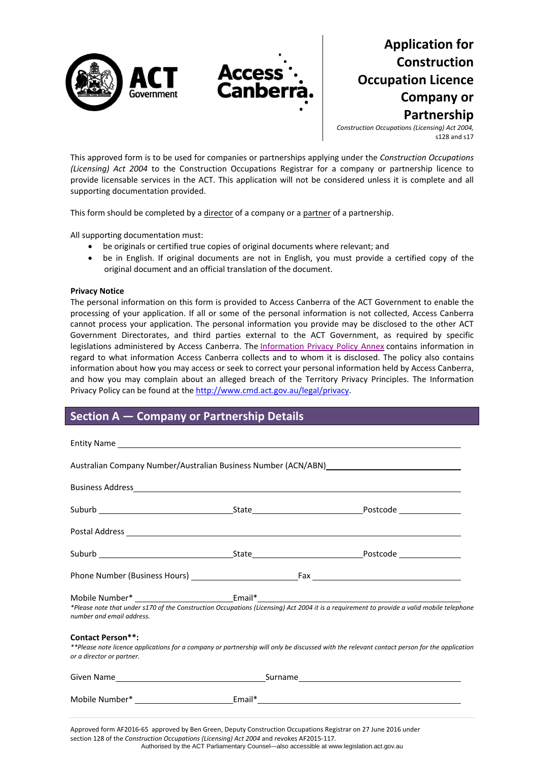

# **Application for Construction Occupation Licence Company or Partnership**

*Construction Occupations (Licensing) Act 2004,* s128 and s17

This approved form is to be used for companies or partnerships applying under the *Construction Occupations (Licensing) Act 2004* to the Construction Occupations Registrar for a company or partnership licence to provide licensable services in the ACT. This application will not be considered unless it is complete and all supporting documentation provided.

This form should be completed by a director of a company or a partner of a partnership.

All supporting documentation must:

- be originals or certified true copies of original documents where relevant; and
- be in English. If original documents are not in English, you must provide a certified copy of the original document and an official translation of the document.

#### **Privacy Notice**

The personal information on this form is provided to Access Canberra of the ACT Government to enable the processing of your application. If all or some of the personal information is not collected, Access Canberra cannot process your application. The personal information you provide may be disclosed to the other ACT Government Directorates, and third parties external to the ACT Government, as required by specific legislations administered by Access Canberra. The [Information](http://www.environment.act.gov.au/__data/assets/pdf_file/0006/633741/Information-Privacy-Policy-Annex.pdf) Privacy Policy Annex contains information in regard to what information Access Canberra collects and to whom it is disclosed. The policy also contains information about how you may access or seek to correct your personal information held by Access Canberra, and how you may complain about an alleged breach of the Territory Privacy Principles. The Information Privacy Policy can be found at the [http://www.cmd.act.gov.au/legal/privacy](http://cmd.act.gov.au/legal/privacy_statement).

## **Section A — Company or Partnership Details**

|                                                       | Australian Company Number/Australian Business Number (ACN/ABN) Material Company Number                                                                                                                                        |
|-------------------------------------------------------|-------------------------------------------------------------------------------------------------------------------------------------------------------------------------------------------------------------------------------|
|                                                       |                                                                                                                                                                                                                               |
|                                                       |                                                                                                                                                                                                                               |
|                                                       |                                                                                                                                                                                                                               |
|                                                       |                                                                                                                                                                                                                               |
|                                                       |                                                                                                                                                                                                                               |
| number and email address.                             | Mobile Number* _____________________________Email*______________________________<br>*Please note that under s170 of the Construction Occupations (Licensing) Act 2004 it is a requirement to provide a valid mobile telephone |
| <b>Contact Person**:</b><br>or a director or partner. | **Please note licence applications for a company or partnership will only be discussed with the relevant contact person for the application                                                                                   |
|                                                       |                                                                                                                                                                                                                               |
|                                                       |                                                                                                                                                                                                                               |
|                                                       |                                                                                                                                                                                                                               |

Approved form AF2016‐65 approved by Ben Green, Deputy Construction Occupations Registrar on 27 June 2016 under section 128 of the *Construction Occupations (Licensing) Act 2004* and revokes AF2015‐117. Authorised by the ACT Parliamentary Counsel—also accessible at www.legislation.act.gov.au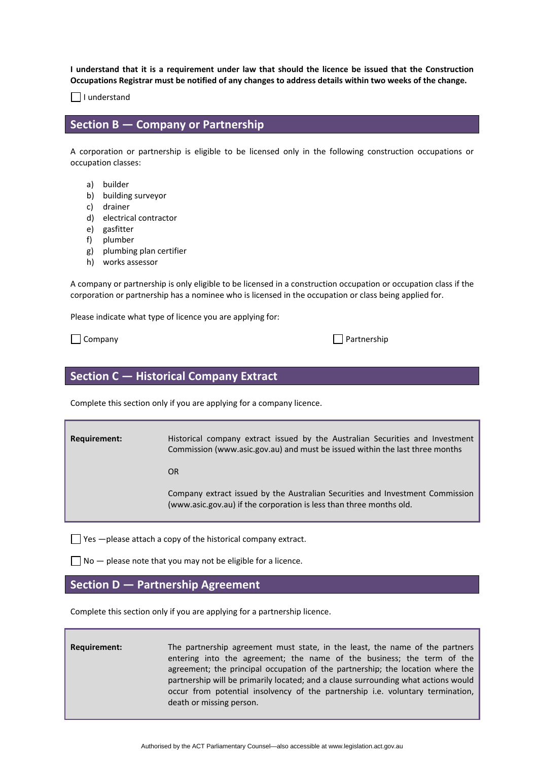I understand that it is a requirement under law that should the licence be issued that the Construction Occupations Registrar must be notified of any changes to address details within two weeks of the change.

 $\Box$  I understand

#### **Section B — Company or Partnership**

A corporation or partnership is eligible to be licensed only in the following construction occupations or occupation classes:

- a) builder
- b) building surveyor
- c) drainer
- d) electrical contractor
- e) gasfitter
- f) plumber
- g) plumbing plan certifier
- h) works assessor

A company or partnership is only eligible to be licensed in a construction occupation or occupation class if the corporation or partnership has a nominee who is licensed in the occupation or class being applied for.

Please indicate what type of licence you are applying for:

 $\Box$  Company  $\Box$ 

| Partnership |
|-------------|
|-------------|

## **Section C — Historical Company Extract**

Complete this section only if you are applying for a company licence.

**Requirement: Historical company extract issued by the Australian Securities and Investment** Commission ([www.asic.gov.au\)](http://www.asic.gov.au/) and must be issued within the last three months

**OR OR** 

 Company extract issued by the Australian Securities and Investment Commission [\(www.asic.gov.au\)](http://www.asic.gov.au/) if the corporation is less than three months old.

 $\Box$  Yes  $-\rho$  lease attach a copy of the historical company extract.

 $\Box$  No  $-$  please note that you may not be eligible for a licence.

### **Section D — Partnership Agreement**

Complete this section only if you are applying for a partnership licence.

**Requirement:** The partnership agreement must state, in the least, the name of the partners entering into the agreement; the name of the business; the term of the agreement; the principal occupation of the partnership; the location where the partnership will be primarily located; and a clause surrounding what actions would occur from potential insolvency of the partnership i.e. voluntary termination, death or missing person.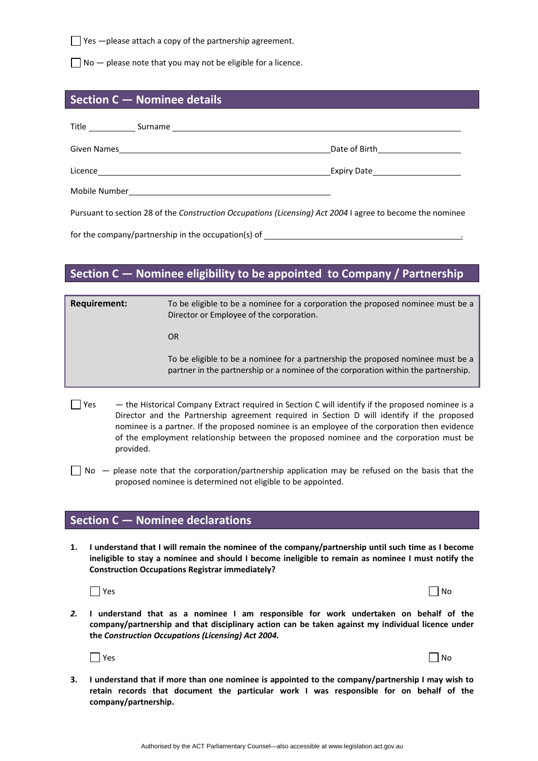$\Box$  Yes  $-$ please attach a copy of the partnership agreement.

 $\Box$  No  $-$  please note that you may not be eligible for a licence.

#### **Section C — Nominee details**

| Title<br>Surname |               |
|------------------|---------------|
| Given Names      | Date of Birth |
| Licence          | Expiry Date   |
| Mobile Number    |               |

Pursuant to section 28 of the *Construction Occupations (Licensing) Act 2004* I agree to become the nominee

for the company/partnership in the occupation(s) of

## **Section C — Nominee eligibility to be appointed to Company / Partnership**

| <b>Requirement:</b> | To be eligible to be a nominee for a corporation the proposed nominee must be a<br>Director or Employee of the corporation.                                           |
|---------------------|-----------------------------------------------------------------------------------------------------------------------------------------------------------------------|
|                     | OR.                                                                                                                                                                   |
|                     | To be eligible to be a nominee for a partnership the proposed nominee must be a<br>partner in the partnership or a nominee of the corporation within the partnership. |
|                     |                                                                                                                                                                       |

- $\Box$  Yes  $-$  the Historical Company Extract required in Section C will identify if the proposed nominee is a Director and the Partnership agreement required in Section D will identify if the proposed nominee is a partner. If the proposed nominee is an employee of the corporation then evidence of the employment relationship between the proposed nominee and the corporation must be provided.
- $\Box$  No  $-$  please note that the corporation/partnership application may be refused on the basis that the proposed nominee is determined not eligible to be appointed.

### **Section C — Nominee declarations**

1. I understand that I will remain the nominee of the company/partnership until such time as I become **ineligible to stay a nominee and should I become ineligible to remain as nominee I must notify the Construction Occupations Registrar immediately?** 

|  | ۰.<br>۰,<br>× |
|--|---------------|
|--|---------------|

- $Y$ es  $\Box$  No
- *2.* **I understand that as a nominee I am responsible for work undertaken on behalf of the company/partnership and that disciplinary action can be taken against my individual licence under the** *Construction Occupations (Licensing) Act 2004.*



| Yes | $\Box$ No |
|-----|-----------|
|-----|-----------|

3. I understand that if more than one nominee is appointed to the company/partnership I may wish to **retain records that document the particular work I was responsible for on behalf of the company/partnership.**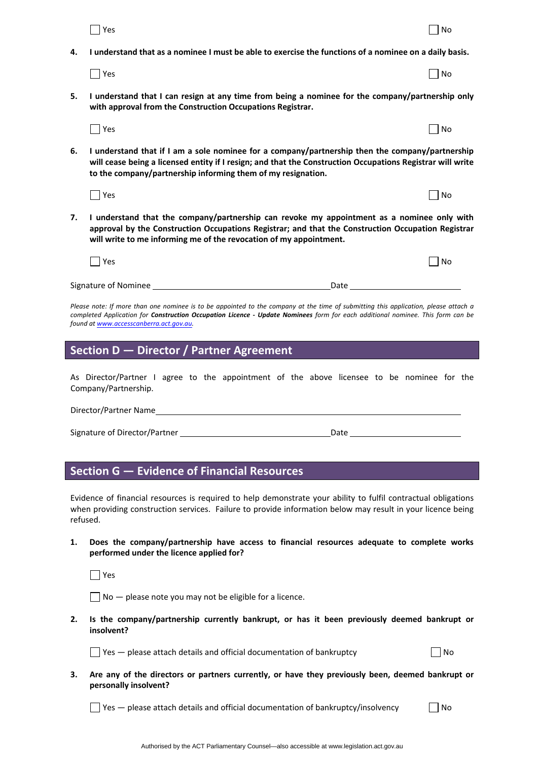|    | Yes                                                                                                                                                                                                                                                                                                                     | No |  |  |
|----|-------------------------------------------------------------------------------------------------------------------------------------------------------------------------------------------------------------------------------------------------------------------------------------------------------------------------|----|--|--|
| 4. | I understand that as a nominee I must be able to exercise the functions of a nominee on a daily basis.                                                                                                                                                                                                                  |    |  |  |
|    | $\Box$ Yes                                                                                                                                                                                                                                                                                                              | No |  |  |
| 5. | I understand that I can resign at any time from being a nominee for the company/partnership only<br>with approval from the Construction Occupations Registrar.                                                                                                                                                          |    |  |  |
|    | $\exists$ Yes                                                                                                                                                                                                                                                                                                           | No |  |  |
| 6. | I understand that if I am a sole nominee for a company/partnership then the company/partnership<br>will cease being a licensed entity if I resign; and that the Construction Occupations Registrar will write<br>to the company/partnership informing them of my resignation.                                           |    |  |  |
|    | $\Box$ Yes                                                                                                                                                                                                                                                                                                              | No |  |  |
| 7. | I understand that the company/partnership can revoke my appointment as a nominee only with<br>approval by the Construction Occupations Registrar; and that the Construction Occupation Registrar<br>will write to me informing me of the revocation of my appointment.                                                  |    |  |  |
|    | $\Box$ Yes                                                                                                                                                                                                                                                                                                              | No |  |  |
|    | Signature of Nominee <b>Signature</b> of Nominee<br>Date                                                                                                                                                                                                                                                                |    |  |  |
|    | Please note: If more than one nominee is to be appointed to the company at the time of submitting this application, please attach a<br>completed Application for <b>Construction Occupation Licence - Update Nominees</b> form for each additional nominee. This form can be<br>found at www.accesscanberra.act.gov.au. |    |  |  |
|    | Section D - Director / Partner Agreement                                                                                                                                                                                                                                                                                |    |  |  |
|    | As Director/Partner I agree to the appointment of the above licensee to be nominee for the<br>Company/Partnership.                                                                                                                                                                                                      |    |  |  |
|    |                                                                                                                                                                                                                                                                                                                         |    |  |  |
|    | Director/Partner Name                                                                                                                                                                                                                                                                                                   |    |  |  |
|    | Date                                                                                                                                                                                                                                                                                                                    |    |  |  |

## **Section G — Evidence of Financial Resources**

Evidence of financial resources is required to help demonstrate your ability to fulfil contractual obligations when providing construction services. Failure to provide information below may result in your licence being refused.

**1. Does the company/partnership have access to financial resources adequate to complete works performed under the licence applied for?** 

Yes

 $\Box$  No  $-$  please note you may not be eligible for a licence.

**2. Is the company/partnership currently bankrupt, or has it been previously deemed bankrupt or insolvent?**

 $\Box$  Yes — please attach details and official documentation of bankruptcy  $\Box$  No

**3. Are any of the directors or partners currently, or have they previously been, deemed bankrupt or personally insolvent?** 

 $\Box$  Yes — please attach details and official documentation of bankruptcy/insolvency  $\Box$  No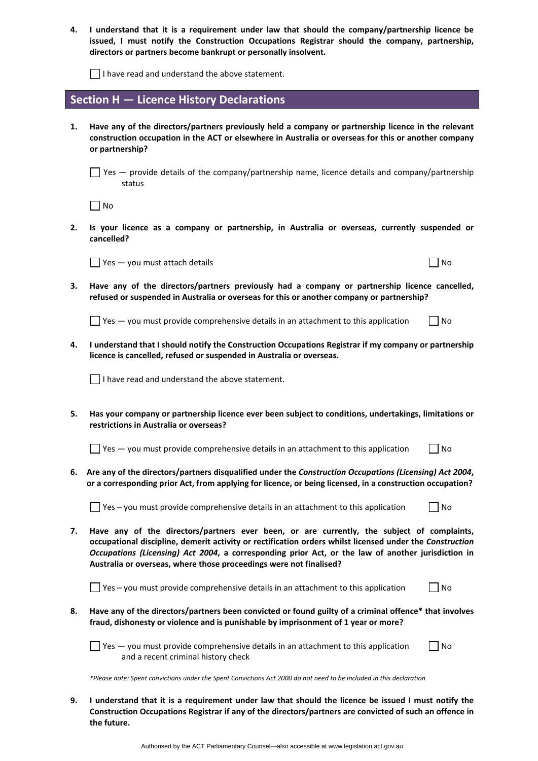**4. I understand that it is a requirement under law that should the company/partnership licence be issued, I must notify the Construction Occupations Registrar should the company, partnership, directors or partners become bankrupt or personally insolvent.** 

 $\Box$  I have read and understand the above statement.

### **Section H — Licence History Declarations**

**1. Have any of the directors/partners previously held a company or partnership licence in the relevant construction occupation in the ACT or elsewhere in Australia or overseas for this or another company or partnership?** 

 $\Box$  Yes — provide details of the company/partnership name, licence details and company/partnership status

 $\Box$  No

**2. Is your licence as a company or partnership, in Australia or overseas, currently suspended or cancelled?** 

 $\Box$  Yes  $-$  you must attach details  $\Box$  No

**3. Have any of the directors/partners previously had a company or partnership licence cancelled, refused or suspended in Australia or overseas for this or another company or partnership?** 

 $\Box$  Yes — you must provide comprehensive details in an attachment to this application  $\Box$  No

**4. I understand that I should notify the Construction Occupations Registrar if my company or partnership licence is cancelled, refused or suspended in Australia or overseas.** 

 $\Box$  I have read and understand the above statement.

**5. Has your company or partnership licence ever been subject to conditions, undertakings, limitations or restrictions in Australia or overseas?** 

 $\Box$  Yes — you must provide comprehensive details in an attachment to this application  $\Box$  No

**6. Are any of the directors/partners disqualified under the** *Construction Occupations (Licensing) Act 2004***,** or a corresponding prior Act, from applying for licence, or being licensed, in a construction occupation?

 $\Box$  Yes – you must provide comprehensive details in an attachment to this application  $\Box$  No

**7. Have any of the directors/partners ever been, or are currently, the subject of complaints, occupational discipline, demerit activity or rectification orders whilst licensed under the** *Construction Occupations (Licensing) Act 2004***, a corresponding prior Act, or the law of another jurisdiction in Australia or overseas, where those proceedings were not finalised?** 

 $\Box$  Yes – you must provide comprehensive details in an attachment to this application  $\Box$  No

**8. Have any of the directors/partners been convicted or found guilty of a criminal offence\* that involves fraud, dishonesty or violence and is punishable by imprisonment of 1 year or more?** 

 $\Box$  Yes — you must provide comprehensive details in an attachment to this application  $\Box$  No and a recent criminal history check

\*Please note: Spent convictions under the Spent Convictions Act 2000 do not need to be included in this declaration

9. I understand that it is a requirement under law that should the licence be issued I must notify the **Construction Occupations Registrar if any of the directors/partners are convicted of such an offence in the future.**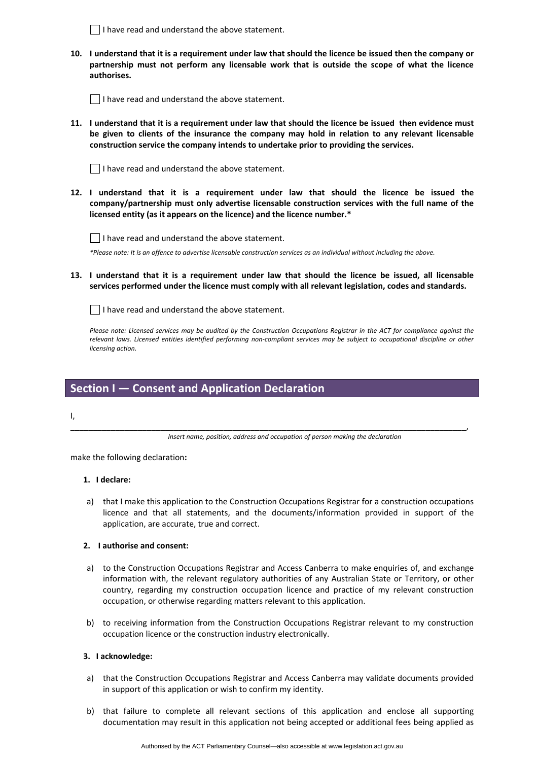$\Box$  I have read and understand the above statement.

10. I understand that it is a requirement under law that should the licence be issued then the company or **partnership must not perform any licensable work that is outside the scope of what the licence authorises.**

 $\Box$  I have read and understand the above statement.

11. I understand that it is a requirement under law that should the licence be issued then evidence must **be given to clients of the insurance the company may hold in relation to any relevant licensable construction service the company intends to undertake prior to providing the services.** 

 $\Box$  I have read and understand the above statement.

**12. I understand that it is a requirement under law that should the licence be issued the company/partnership must only advertise licensable construction services with the full name of the licensed entity (as it appears on the licence) and the licence number.\*** 



\*Please note: It is an offence to advertise licensable construction services as an individual without including the above.

13. I understand that it is a requirement under law that should the licence be issued, all licensable **services performed under the licence must comply with all relevant legislation, codes and standards.** 

 $\Box$  I have read and understand the above statement.

Please note: Licensed services may be audited by the Construction Occupations Registrar in the ACT for compliance against the relevant laws. Licensed entities identified performing non-compliant services may be subject to occupational discipline or other *licensing action.*

### **Section I — Consent and Application Declaration**

I,

\_\_\_\_\_\_\_\_\_\_\_\_\_\_\_\_\_\_\_\_\_\_\_\_\_\_\_\_\_\_\_\_\_\_\_\_\_\_\_\_\_\_\_\_\_\_\_\_\_\_\_\_\_\_\_\_\_\_\_\_\_\_\_\_\_\_\_\_\_\_\_\_\_\_\_\_\_\_\_\_\_\_\_\_\_\_\_\_, *Insert name, position, address and occupation of person making the declaration*

make the following declaration**:**

#### **1. I declare:**

a) that I make this application to the Construction Occupations Registrar for a construction occupations licence and that all statements, and the documents/information provided in support of the application, are accurate, true and correct.

#### **2. I authorise and consent:**

- a) to the Construction Occupations Registrar and Access Canberra to make enquiries of, and exchange information with, the relevant regulatory authorities of any Australian State or Territory, or other country, regarding my construction occupation licence and practice of my relevant construction occupation, or otherwise regarding matters relevant to this application.
- b) to receiving information from the Construction Occupations Registrar relevant to my construction occupation licence or the construction industry electronically.

#### **3. I acknowledge:**

- a) that the Construction Occupations Registrar and Access Canberra may validate documents provided in support of this application or wish to confirm my identity.
- b) that failure to complete all relevant sections of this application and enclose all supporting documentation may result in this application not being accepted or additional fees being applied as